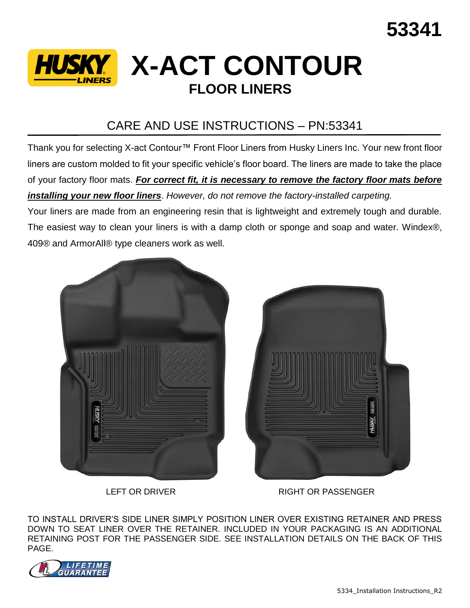

## **X-ACT CONTOUR FLOOR LINERS**

## CARE AND USE INSTRUCTIONS – PN:53341

Thank you for selecting X-act Contour™ Front Floor Liners from Husky Liners Inc. Your new front floor liners are custom molded to fit your specific vehicle's floor board. The liners are made to take the place of your factory floor mats. *For correct fit, it is necessary to remove the factory floor mats before installing your new floor liners*. *However, do not remove the factory-installed carpeting.*

Your liners are made from an engineering resin that is lightweight and extremely tough and durable. The easiest way to clean your liners is with a damp cloth or sponge and soap and water. Windex®, 409® and ArmorAll® type cleaners work as well.



![](_page_0_Picture_7.jpeg)

LEFT OR DRIVER RIGHT OR PASSENGER

TO INSTALL DRIVER'S SIDE LINER SIMPLY POSITION LINER OVER EXISTING RETAINER AND PRESS DOWN TO SEAT LINER OVER THE RETAINER. INCLUDED IN YOUR PACKAGING IS AN ADDITIONAL RETAINING POST FOR THE PASSENGER SIDE. SEE INSTALLATION DETAILS ON THE BACK OF THIS PAGE.

![](_page_0_Picture_11.jpeg)